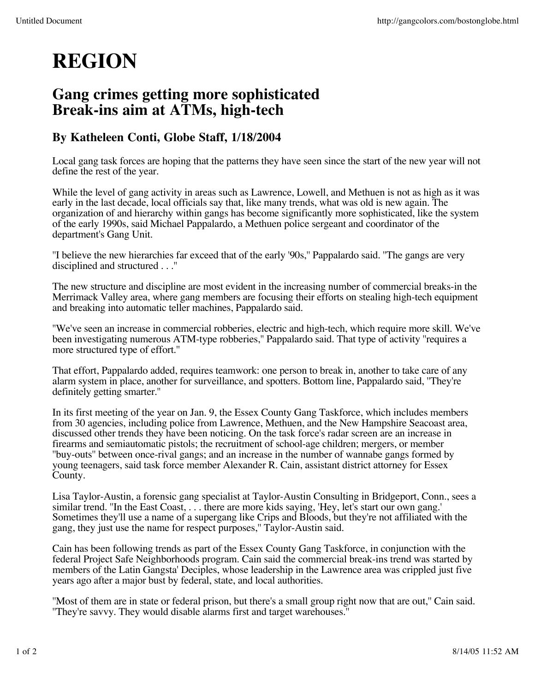## **REGION**

## **Gang crimes getting more sophisticated Break-ins aim at ATMs, high-tech**

## **By Katheleen Conti, Globe Staff, 1/18/2004**

Local gang task forces are hoping that the patterns they have seen since the start of the new year will not define the rest of the year.

While the level of gang activity in areas such as Lawrence, Lowell, and Methuen is not as high as it was early in the last decade, local officials say that, like many trends, what was old is new again. The organization of and hierarchy within gangs has become significantly more sophisticated, like the system of the early 1990s, said Michael Pappalardo, a Methuen police sergeant and coordinator of the department's Gang Unit.

''I believe the new hierarchies far exceed that of the early '90s,'' Pappalardo said. ''The gangs are very disciplined and structured . . .''

The new structure and discipline are most evident in the increasing number of commercial breaks-in the Merrimack Valley area, where gang members are focusing their efforts on stealing high-tech equipment and breaking into automatic teller machines, Pappalardo said.

''We've seen an increase in commercial robberies, electric and high-tech, which require more skill. We've been investigating numerous ATM-type robberies,'' Pappalardo said. That type of activity ''requires a more structured type of effort.''

That effort, Pappalardo added, requires teamwork: one person to break in, another to take care of any alarm system in place, another for surveillance, and spotters. Bottom line, Pappalardo said, ''They're definitely getting smarter.''

In its first meeting of the year on Jan. 9, the Essex County Gang Taskforce, which includes members from 30 agencies, including police from Lawrence, Methuen, and the New Hampshire Seacoast area, discussed other trends they have been noticing. On the task force's radar screen are an increase in firearms and semiautomatic pistols; the recruitment of school-age children; mergers, or member ''buy-outs'' between once-rival gangs; and an increase in the number of wannabe gangs formed by young teenagers, said task force member Alexander R. Cain, assistant district attorney for Essex County.

Lisa Taylor-Austin, a forensic gang specialist at Taylor-Austin Consulting in Bridgeport, Conn., sees a similar trend. ''In the East Coast, . . . there are more kids saying, 'Hey, let's start our own gang.' Sometimes they'll use a name of a supergang like Crips and Bloods, but they're not affiliated with the gang, they just use the name for respect purposes,'' Taylor-Austin said.

Cain has been following trends as part of the Essex County Gang Taskforce, in conjunction with the federal Project Safe Neighborhoods program. Cain said the commercial break-ins trend was started by members of the Latin Gangsta' Deciples, whose leadership in the Lawrence area was crippled just five years ago after a major bust by federal, state, and local authorities.

''Most of them are in state or federal prison, but there's a small group right now that are out,'' Cain said. ''They're savvy. They would disable alarms first and target warehouses.''